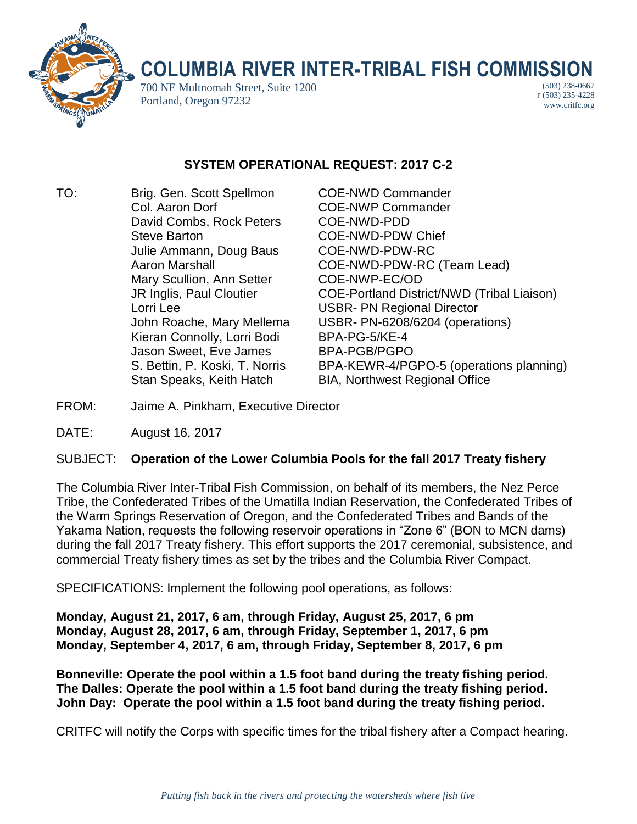

## **COLUMBIA RIVER INTER-TRIBAL FISH COMMISSION**

700 NE Multnomah Street, Suite 1200 Portland, Oregon 97232

(503) 238-0667 F (503) 235-4228 www.critfc.org

## **SYSTEM OPERATIONAL REQUEST: 2017 C-2**

TO: Brig. Gen. Scott Spellmon COE-NWD Commander Col. Aaron Dorf COE-NWP Commander David Combs, Rock Peters COE-NWD-PDD Steve Barton **COE-NWD-PDW Chief** Julie Ammann, Doug Baus COE-NWD-PDW-RC Mary Scullion, Ann Setter COE-NWP-EC/OD Lorri Lee USBR- PN Regional Director Kieran Connolly, Lorri Bodi BPA-PG-5/KE-4 Jason Sweet, Eve James BPA-PGB/PGPO

Aaron Marshall COE-NWD-PDW-RC (Team Lead) JR Inglis, Paul Cloutier COE-Portland District/NWD (Tribal Liaison) John Roache, Mary Mellema USBR- PN-6208/6204 (operations) S. Bettin, P. Koski, T. Norris BPA-KEWR-4/PGPO-5 (operations planning) Stan Speaks, Keith Hatch BIA, Northwest Regional Office

- FROM: Jaime A. Pinkham, Executive Director
- DATE: August 16, 2017

## SUBJECT: **Operation of the Lower Columbia Pools for the fall 2017 Treaty fishery**

The Columbia River Inter-Tribal Fish Commission, on behalf of its members, the Nez Perce Tribe, the Confederated Tribes of the Umatilla Indian Reservation, the Confederated Tribes of the Warm Springs Reservation of Oregon, and the Confederated Tribes and Bands of the Yakama Nation, requests the following reservoir operations in "Zone 6" (BON to MCN dams) during the fall 2017 Treaty fishery. This effort supports the 2017 ceremonial, subsistence, and commercial Treaty fishery times as set by the tribes and the Columbia River Compact.

SPECIFICATIONS: Implement the following pool operations, as follows:

**Monday, August 21, 2017, 6 am, through Friday, August 25, 2017, 6 pm Monday, August 28, 2017, 6 am, through Friday, September 1, 2017, 6 pm Monday, September 4, 2017, 6 am, through Friday, September 8, 2017, 6 pm**

**Bonneville: Operate the pool within a 1.5 foot band during the treaty fishing period. The Dalles: Operate the pool within a 1.5 foot band during the treaty fishing period. John Day: Operate the pool within a 1.5 foot band during the treaty fishing period.**

CRITFC will notify the Corps with specific times for the tribal fishery after a Compact hearing.